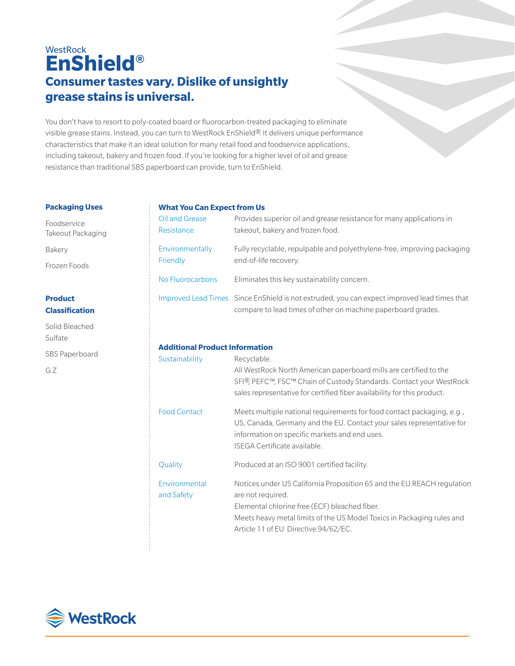# **WestRock EnShield® Consumer tastes vary. Dislike of unsightly grease stains is universal.**

You don't have to resort to poly-coated board or fluorocarbon-treated packaging to eliminate visible grease stains. Instead, you can turn to WestRock EnShield®. It delivers unique performance characteristics that make it an ideal solution for many retail food and foodservice applications, including takeout, bakery and frozen food. If you're looking for a higher level of oil and grease resistance than traditional SBS paperboard can provide, turn to EnShield.

#### **Packaging Uses**

Foodservice Takeout Packaging

Bakery

Frozen Foods

# **Product Classification**

Solid Bleached Sulfate SBS Paperboard G Z

## **What You Can Expect from Us**

| Oil and Grease   | Provides superior oil and grease resistance for many applications in                                                                                        |
|------------------|-------------------------------------------------------------------------------------------------------------------------------------------------------------|
| Resistance       | takeout, bakery and frozen food.                                                                                                                            |
| Environmentally  | Fully recyclable, repulpable and polyethylene-free, improving packaging                                                                                     |
| Friendly         | end-of-life recovery.                                                                                                                                       |
| No Fluorocarbons | Eliminates this key sustainability concern.                                                                                                                 |
|                  | Improved Lead Times Since EnShield is not extruded, you can expect improved lead times that<br>compare to lead times of other on machine paperboard grades. |

# **Additional Product Information**

| Sustainability              | Recyclable.<br>All WestRock North American paperboard mills are certified to the<br>SFI <sup>®</sup> , PEFC™, FSC™ Chain of Custody Standards. Contact your WestRock<br>sales representative for certified fiber availability for this product.                |
|-----------------------------|----------------------------------------------------------------------------------------------------------------------------------------------------------------------------------------------------------------------------------------------------------------|
| <b>Food Contact</b>         | Meets multiple national requirements for food contact packaging, e.g.,<br>US, Canada, Germany and the EU. Contact your sales representative for<br>information on specific markets and end uses.<br>ISEGA Certificate available.                               |
| Quality                     | Produced at an ISO 9001 certified facility.                                                                                                                                                                                                                    |
| Environmental<br>and Safety | Notices under US California Proposition 65 and the EU REACH regulation<br>are not required.<br>Elemental chlorine free (ECF) bleached fiber.<br>Meets heavy metal limits of the US Model Toxics in Packaging rules and<br>Article 11 of EU Directive 94/62/EC. |